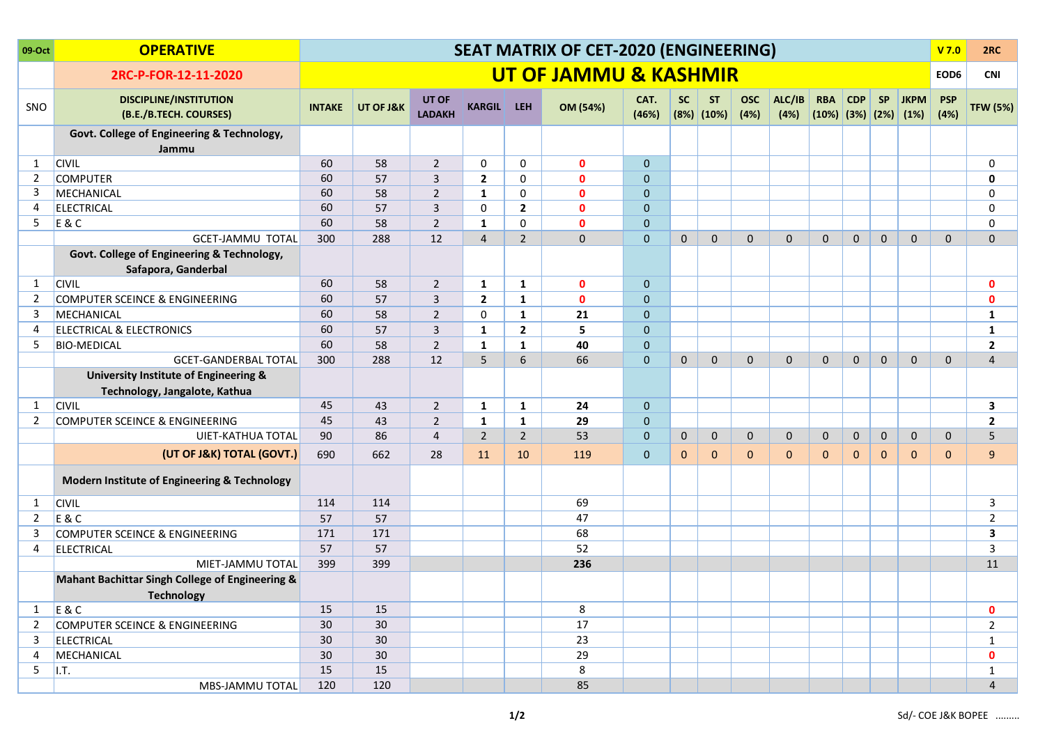| 09-Oct         | <b>OPERATIVE</b>                                                       | <b>SEAT MATRIX OF CET-2020 (ENGINEERING)</b> |           |                        |                   |                |                                  |                |              |                         |                    |                |                                       | V <sub>7.0</sub> | 2RC          |              |                    |                 |
|----------------|------------------------------------------------------------------------|----------------------------------------------|-----------|------------------------|-------------------|----------------|----------------------------------|----------------|--------------|-------------------------|--------------------|----------------|---------------------------------------|------------------|--------------|--------------|--------------------|-----------------|
|                | 2RC-P-FOR-12-11-2020                                                   |                                              |           |                        |                   |                | <b>UT OF JAMMU &amp; KASHMIR</b> |                |              |                         |                    |                |                                       |                  |              |              | EOD6               | <b>CNI</b>      |
| SNO            | <b>DISCIPLINE/INSTITUTION</b><br>(B.E./B.TECH. COURSES)                | <b>INTAKE</b>                                | UT OF J&K | UT OF<br><b>LADAKH</b> | <b>KARGIL LEH</b> |                | OM (54%)                         | CAT.<br>(46%)  | <b>SC</b>    | <b>ST</b><br>(8%) (10%) | <b>OSC</b><br>(4%) | ALC/IB<br>(4%) | <b>RBA</b><br>$(10\%)$ (3%) (2%) (1%) | <b>CDP</b>       | <b>SP</b>    | <b>JKPM</b>  | <b>PSP</b><br>(4%) | <b>TFW (5%)</b> |
|                | Govt. College of Engineering & Technology,<br>Jammu                    |                                              |           |                        |                   |                |                                  |                |              |                         |                    |                |                                       |                  |              |              |                    |                 |
| 1              | <b>CIVIL</b>                                                           | 60                                           | 58        | $\overline{2}$         | 0                 | $\mathbf 0$    | $\mathbf{0}$                     | $\mathbf{0}$   |              |                         |                    |                |                                       |                  |              |              |                    | 0               |
| 2              | <b>COMPUTER</b>                                                        | 60                                           | 57        | 3                      | $\overline{2}$    | 0              | $\mathbf{0}$                     | $\overline{0}$ |              |                         |                    |                |                                       |                  |              |              |                    | 0               |
| 3              | MECHANICAL                                                             | 60                                           | 58        | $\overline{2}$         | $\mathbf{1}$      | 0              | $\mathbf{0}$                     | $\overline{0}$ |              |                         |                    |                |                                       |                  |              |              |                    | 0               |
| 4              | <b>ELECTRICAL</b>                                                      | 60                                           | 57        | 3                      | $\mathbf 0$       | $\overline{2}$ | $\mathbf{0}$                     | $\overline{0}$ |              |                         |                    |                |                                       |                  |              |              |                    | 0               |
| 5              | $E$ &C                                                                 | 60                                           | 58        | $\overline{2}$         | $\mathbf{1}$      | 0              | $\mathbf{0}$                     | 0              |              |                         |                    |                |                                       |                  |              |              |                    | 0               |
|                | <b>GCET-JAMMU TOTAL</b>                                                | 300                                          | 288       | 12                     | $\overline{4}$    | $\overline{2}$ | $\mathbf 0$                      | $\mathbf{0}$   | $\mathbf 0$  | $\mathbf 0$             | $\mathbf 0$        | $\mathbf 0$    | $\mathbf 0$                           | $\mathbf 0$      | $\mathbf 0$  | $\mathbf{0}$ | $\mathbf{0}$       | $\mathbf{0}$    |
|                | Govt. College of Engineering & Technology,<br>Safapora, Ganderbal      |                                              |           |                        |                   |                |                                  |                |              |                         |                    |                |                                       |                  |              |              |                    |                 |
| $\mathbf{1}$   | <b>CIVIL</b>                                                           | 60                                           | 58        | $\overline{2}$         | $\mathbf{1}$      | $\mathbf{1}$   | $\mathbf 0$                      | $\mathbf{0}$   |              |                         |                    |                |                                       |                  |              |              |                    | $\mathbf{0}$    |
| 2              | <b>COMPUTER SCEINCE &amp; ENGINEERING</b>                              | 60                                           | 57        | 3                      | $\overline{2}$    | $\mathbf{1}$   | $\mathbf{0}$                     | $\overline{0}$ |              |                         |                    |                |                                       |                  |              |              |                    | $\mathbf{0}$    |
| 3              | MECHANICAL                                                             | 60                                           | 58        | $\overline{2}$         | 0                 | $\mathbf{1}$   | 21                               | $\overline{0}$ |              |                         |                    |                |                                       |                  |              |              |                    | 1               |
| 4              | <b>ELECTRICAL &amp; ELECTRONICS</b>                                    | 60                                           | 57        | 3                      | $\mathbf{1}$      | $\overline{2}$ | 5                                | $\overline{0}$ |              |                         |                    |                |                                       |                  |              |              |                    | 1               |
| 5              | <b>BIO-MEDICAL</b>                                                     | 60                                           | 58        | $\overline{2}$         | $\mathbf{1}$      | $\mathbf{1}$   | 40                               | 0              |              |                         |                    |                |                                       |                  |              |              |                    | $\overline{2}$  |
|                | <b>GCET-GANDERBAL TOTAL</b>                                            | 300                                          | 288       | 12                     | 5                 | 6              | 66                               | $\overline{0}$ | $\mathbf{0}$ | $\mathbf{0}$            | $\mathbf 0$        | $\mathbf 0$    | $\mathbf 0$                           | $\mathbf 0$      | $\mathbf{0}$ | $\mathbf{0}$ | $\mathbf 0$        | 4               |
|                | University Institute of Engineering &<br>Technology, Jangalote, Kathua |                                              |           |                        |                   |                |                                  |                |              |                         |                    |                |                                       |                  |              |              |                    |                 |
| 1              | <b>CIVIL</b>                                                           | 45                                           | 43        | $\overline{2}$         | $\mathbf{1}$      | $\mathbf{1}$   | 24                               | 0              |              |                         |                    |                |                                       |                  |              |              |                    | 3               |
| 2              | COMPUTER SCEINCE & ENGINEERING                                         | 45                                           | 43        | $\overline{2}$         | $\mathbf{1}$      | $\mathbf{1}$   | 29                               | 0              |              |                         |                    |                |                                       |                  |              |              |                    | $\overline{2}$  |
|                | UIET-KATHUA TOTAL                                                      | 90                                           | 86        | 4                      | $\overline{2}$    | $\overline{2}$ | 53                               | 0              | $\mathbf{0}$ | $\mathbf{0}$            | $\mathbf 0$        | $\mathbf{0}$   | $\mathbf 0$                           | $\mathbf 0$      | $\mathbf{0}$ | $\mathbf{0}$ | $\mathbf 0$        | 5               |
|                | (UT OF J&K) TOTAL (GOVT.)                                              | 690                                          | 662       | 28                     | 11                | 10             | 119                              | $\mathbf{0}$   | $\mathbf{0}$ | $\mathbf{0}$            | $\mathbf{0}$       | $\mathbf 0$    | $\mathbf 0$                           | $\mathbf{0}$     | $\mathbf{0}$ | $\mathbf{0}$ | $\mathbf{0}$       | 9               |
|                | Modern Institute of Engineering & Technology                           |                                              |           |                        |                   |                |                                  |                |              |                         |                    |                |                                       |                  |              |              |                    |                 |
| 1              | <b>CIVIL</b>                                                           | 114                                          | 114       |                        |                   |                | 69                               |                |              |                         |                    |                |                                       |                  |              |              |                    | 3               |
| 2              | <b>E&amp;C</b>                                                         | 57                                           | 57        |                        |                   |                | 47                               |                |              |                         |                    |                |                                       |                  |              |              |                    | $\overline{2}$  |
| 3              | COMPUTER SCEINCE & ENGINEERING                                         | 171                                          | 171       |                        |                   |                | 68                               |                |              |                         |                    |                |                                       |                  |              |              |                    | 3               |
| 4              | <b>ELECTRICAL</b>                                                      | 57                                           | 57        |                        |                   |                | 52                               |                |              |                         |                    |                |                                       |                  |              |              |                    | 3               |
|                | MIET-JAMMU TOTAL                                                       | 399                                          | 399       |                        |                   |                | 236                              |                |              |                         |                    |                |                                       |                  |              |              |                    | 11              |
|                | Mahant Bachittar Singh College of Engineering &<br>Technology          |                                              |           |                        |                   |                |                                  |                |              |                         |                    |                |                                       |                  |              |              |                    |                 |
| $\mathbf{1}$   | E & C                                                                  | 15                                           | 15        |                        |                   |                | 8                                |                |              |                         |                    |                |                                       |                  |              |              |                    | $\mathbf 0$     |
| $\overline{2}$ | COMPUTER SCEINCE & ENGINEERING                                         | 30                                           | 30        |                        |                   |                | 17                               |                |              |                         |                    |                |                                       |                  |              |              |                    | $\overline{2}$  |
| 3              | <b>ELECTRICAL</b>                                                      | 30                                           | 30        |                        |                   |                | 23                               |                |              |                         |                    |                |                                       |                  |              |              |                    | $\mathbf{1}$    |
| 4              | MECHANICAL                                                             | 30                                           | 30        |                        |                   |                | 29                               |                |              |                         |                    |                |                                       |                  |              |              |                    | $\mathbf 0$     |
| 5              | $\vert$ I.T.                                                           | 15                                           | 15        |                        |                   |                | $\bf 8$                          |                |              |                         |                    |                |                                       |                  |              |              |                    | $\mathbf{1}$    |
|                | MBS-JAMMU TOTAL                                                        | 120                                          | 120       |                        |                   |                | 85                               |                |              |                         |                    |                |                                       |                  |              |              |                    | $\overline{4}$  |